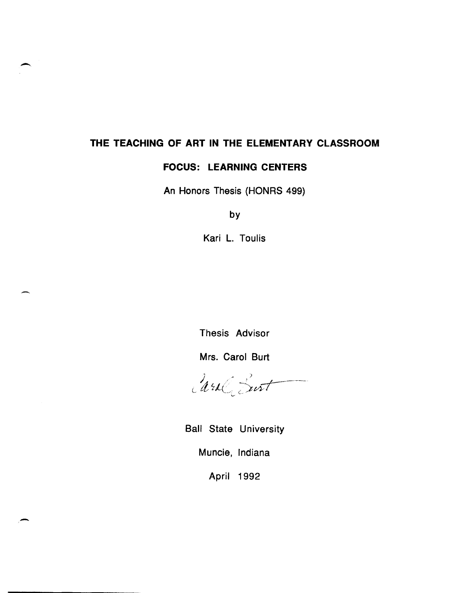# **THE TEACHING OF ART IN THE ELEMENTARY CLASSROOM**

# **FOCUS: LEARNING CENTERS**

An Honors Thesis (HONRS 499)

by

Kari L. Toulis

Thesis Advisor

Mrs. Carol Burt

Carl Burt

Ball State University

Muncie, Indiana

April 1992

,-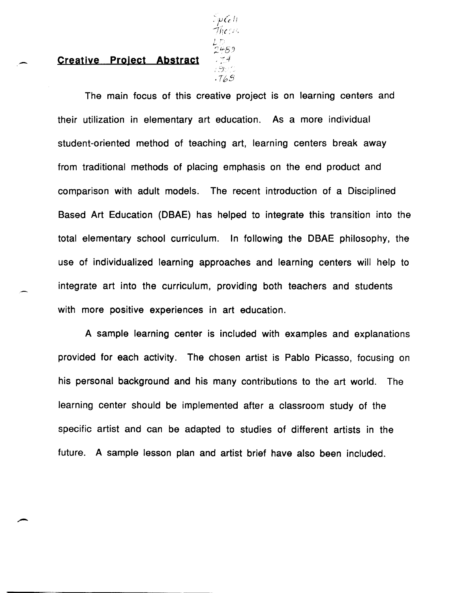#### **Creative Project Abstract**

 $L$  !  $2459$ :  $\mathcal{G}^{(1)}$ . T65'

The main focus of this creative project is on learning centers and their utilization in elementary art education. As a more individual student-oriented method of teaching art, learning centers break away from traditional methods of placing emphasis on the end product and comparison with adult models. The recent introduction of a Disciplined Based Art Education (DBAE) has helped to integrate this transition into the total elementary school curriculum. In following the DBAE philosophy, the use of individualized learning approaches and learning centers will help to integrate art into the curriculum, providing both teachers and students with more positive experiences in art education.

A sample learning center is included with examples and explanations provided for each activity. The chosen artist is Pablo Picasso, focusing on his personal background and his many contributions to the art world. The learning center should be implemented after a classroom study of the specific artist and can be adapted to studies of different artists in the future. A sample lesson plan and artist brief have also been included.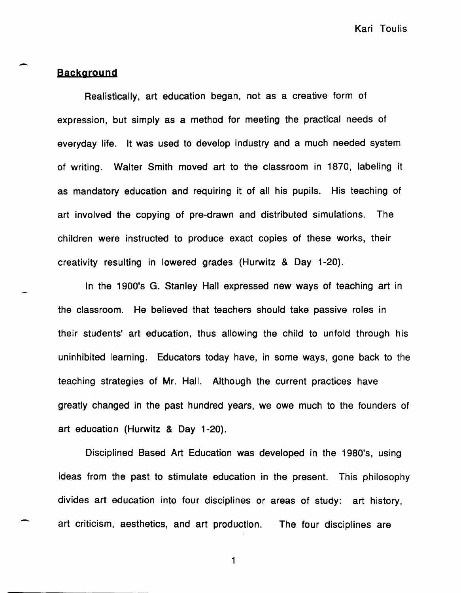# **Background**

 $\overline{\phantom{0}}$ 

Realistically, art education began, not as a creative form of expression, but simply as a method for meeting the practical needs of everyday life. It was used to develop industry and a much needed system of writing. Walter Smith moved art to the classroom in 1870, labeling it as mandatory education and requiring it of all his pupils. His teaching of art involved the copying of pre-drawn and distributed simulations. The children were instructed to produce exact copies of these works, their creativity resulting in lowered grades (Hurwitz & Day 1-20).

In the 1900's G. Stanley Hall expressed new ways of teaching art in the classroom. He believed that teachers should take passive roles in their students' art education, thus allowing the child to unfold through his uninhibited learning. Educators today have, in some ways, gone back to the teaching strategies of Mr. Hall. Although the current practices have greatly changed in the past hundred years, we owe much to the founders of art education (Hurwitz & Day 1-20).

Disciplined Based Art Education was developed in the 1980's, using ideas from the past to stimulate education in the present. This philosophy divides art education into four disciplines or areas of study: art history, art criticism, aesthetics, and art production. The four disciplines are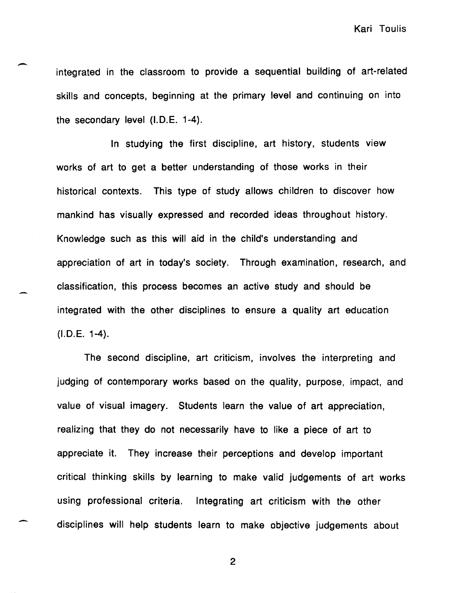integrated in the classroom to provide a sequential building of art-related skills and concepts, beginning at the primary level and continuing on into the secondary level (I.D.E. 1-4).

 $\overline{\phantom{0}}$ 

-

In studying the first discipline, art history, students view works of art to get a better understanding of those works in their historical contexts. This type of study allows children to discover how mankind has visually expressed and recorded ideas throughout history. Knowledge such as this will aid in the child's understanding and appreciation of art in today's society. Through examination, research, and classification, this process becomes an active study and should be integrated with the other disciplines to ensure a quality art education (I.D.E. 1-4).

The second discipline, art criticism, involves the interpreting and judging of contemporary works based on the quality, purpose, impact, and value of visual imagery. Students learn the value of art appreciation, realizing that they do not necessarily have to like a piece of art to appreciate it. They increase their perceptions and develop important critical thinking skills by learning to make valid judgements of art works using professional criteria. Integrating art criticism with the other disciplines will help students learn to make objective judgements about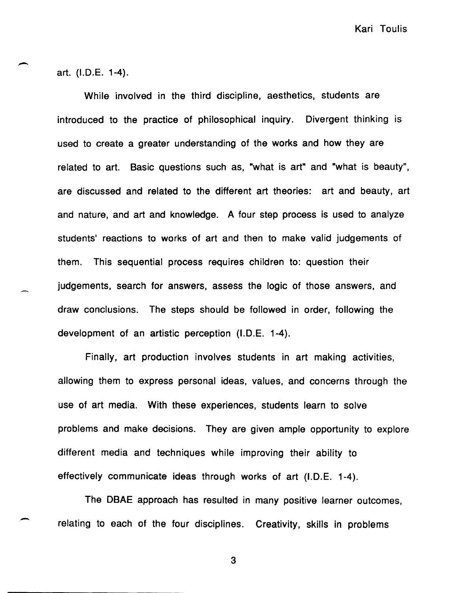art. (I.D.E. 1-4).

-

-

While involved in the third discipline, aesthetics, students are introduced to the practice of philosophical inquiry. Divergent thinking is used to create a greater understanding of the works and how they are related to art. Basic questions such as, "what is art" and "what is beauty", are discussed and related to the different art theories: art and beauty, art and nature, and art and knowledge. A four step process is used to analyze students' reactions to works of art and then to make valid judgements of them. This sequential process requires children to: question their judgements, search for answers, assess the logic of those answers, and draw conclusions. The steps should be followed in order, following the development of an artistic perception (I.D.E. 1-4).

Finally, art production involves students in art making activities, allowing them to express personal ideas, values, and concerns through the use of art media. With these experiences, students learn to solve problems and make decisions. They are given ample opportunity to explore different media and techniques while improving their ability to effectively communicate ideas through works of art (I.D.E. 1-4).

The DBAE approach has resulted in many positive learner outcomes, relating to each of the four disciplines. Creativity, skills in problems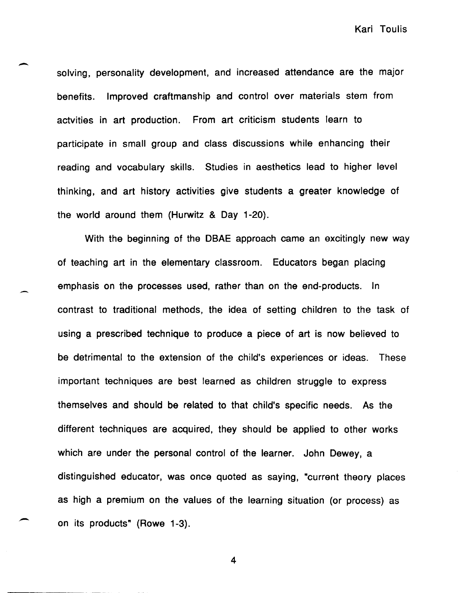solving, personality development, and increased attendance are the major benefits. Improved craftmanship and control over materials stem from actvities in art production. From art criticism students learn to participate in small group and class discussions while enhancing their reading and vocabulary skills. Studies in aesthetics lead to higher level thinking, and art history activities give students a greater knowledge of the world around them (Hurwitz & Day 1-20).

 $\overline{\phantom{0}}$ 

.-

.-

With the beginning of the DBAE approach came an excitingly new way of teaching art in the elementary classroom. Educators began placing emphasis on the processes used, rather than on the end-products. In contrast to traditional methods, the idea of setting children to the task of using a prescribed technique to produce a piece of art is now believed to be detrimental to the extension of the child's experiences or ideas. These important techniques are best learned as children struggle to express themselves and should be related to that child's specific needs. As the different techniques are acquired, they should be applied to other works which are under the personal control of the learner. John Dewey, a distinguished educator, was once quoted as saying, "current theory places as high a premium on the values of the learning situation (or process) as on its products" (Rowe 1-3).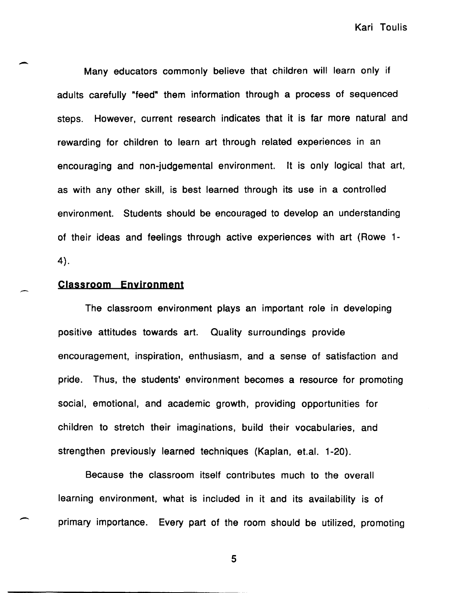Many educators commonly believe that children will learn only if adults carefully "feed" them information through a process of sequenced steps. However, current research indicates that it is far more natural and rewarding for children to learn art through related experiences in an encouraging and non-judgemental environment. It is only logical that art, as with any other skill, is best learned through its use in a controlled environment. Students should be encouraged to develop an understanding of their ideas and feelings through active experiences with art (Rowe 1- 4).

### **Classroom Environment**

-

-

-

The classroom environment plays an important role in developing positive attitudes towards art. Quality surroundings provide encouragement, inspiration, enthusiasm, and a sense of satisfaction and pride. Thus, the students' environment becomes a resource for promoting social, emotional, and academic growth, providing opportunities for children to stretch their imaginations, build their vocabularies, and strengthen previously learned techniques (Kaplan, et.al. 1-20).

Because the classroom itself contributes much to the overall learning environment, what is included in it and its availability is of primary importance. Every part of the room should be utilized, promoting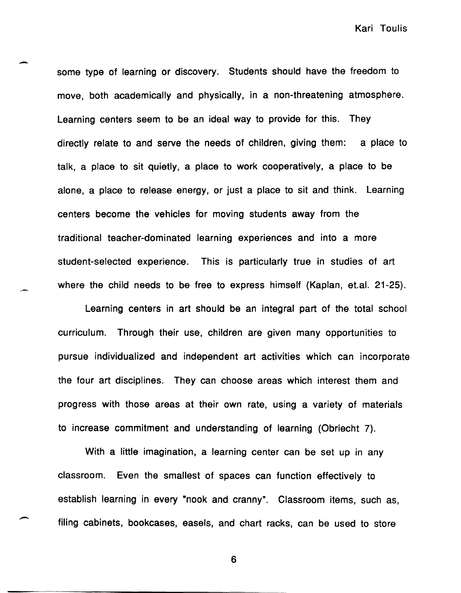some type of learning or discovery. Students should have the freedom to move, both academically and physically, in a non-threatening atmosphere. Learning centers seem to be an ideal way to provide for this. They directly relate to and serve the needs of children, giving them: a place to talk, a place to sit quietly, a place to work cooperatively, a place to be alone, a place to release energy, or just a place to sit and think. Learning centers become the vehicles for moving students away from the traditional teacher-dominated learning experiences and into a more student-selected experience. This is particularly true in studies of art where the child needs to be free to express himself (Kaplan, et.al. 21-25).

-

-

Learning centers in art should be an integral part of the total school curriculum. Through their use, children are given many opportunities to pursue individualized and independent art activities which can incorporate the four art disciplines. They can choose areas which interest them and progress with those areas at their own rate, using a variety of materials to increase commitment and understanding of learning (Obriecht 7).

With a little imagination, a learning center can be set up in any classroom. Even the smallest of spaces can function effectively to establish learning in every "nook and cranny". Classroom items, such as, filing cabinets, bookcases, easels, and chart racks, can be used to store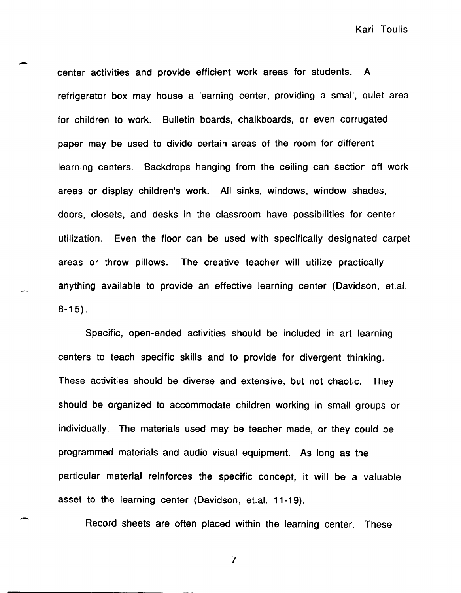center activities and provide efficient work areas for students. A refrigerator box may house a learning center, providing a small, quiet area for children to work. Bulletin boards, chalkboards, or even corrugated paper may be used to divide certain areas of the room for different learning centers. Backdrops hanging from the ceiling can section off work areas or display children's work. All sinks, windows, window shades, doors, closets, and desks in the classroom have possibilities for center utilization. Even the floor can be used with specifically designated carpet areas or throw pillows. The creative teacher will utilize practically anything available to provide an effective learning center (Davidson, et.a!. 6-15) .

-

-

Specific, open-ended activities should be included in art learning centers to teach specific skills and to provide for divergent thinking. These activities should be diverse and extensive, but not chaotic. They should be organized to accommodate children working in small groups or individually. The materials used may be teacher made, or they could be programmed materials and audio visual equipment. As long as the particular material reinforces the specific concept, it will be a valuable asset to the learning center (Davidson, et.a!. 11-19).

Record sheets are often placed within the learning center. These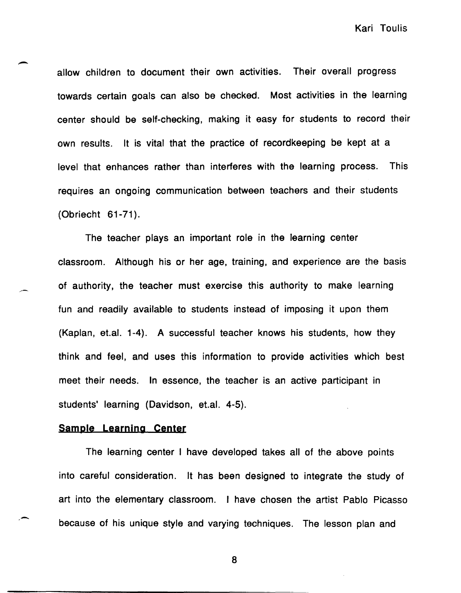allow children to document their own activities. Their overall progress towards certain goals can also be checked. Most activities in the learning center should be self-checking, making it easy for students to record their own results. It is vital that the practice of recordkeeping be kept at a level that enhances rather than interferes with the learning process. This requires an ongoing communication between teachers and their students (Obriecht 61-71).

The teacher plays an important role in the learning center classroom. Although his or her age, training, and experience are the basis of authority, the teacher must exercise this authority to make learning fun and readily available to students instead of imposing it upon them (Kaplan, et.al. 1-4). A successful teacher knows his students, how they think and feel, and uses this information to provide activities which best meet their needs. In essence, the teacher is an active participant in students' learning (Davidson, et.al. 4-5).

#### **Sample Learning Center**

 $\overline{\phantom{0}}$ 

,-

The learning center I have developed takes all of the above points into careful consideration. It has been designed to integrate the study of art into the elementary classroom. I have chosen the artist Pablo Picasso because of his unique style and varying techniques. The lesson plan and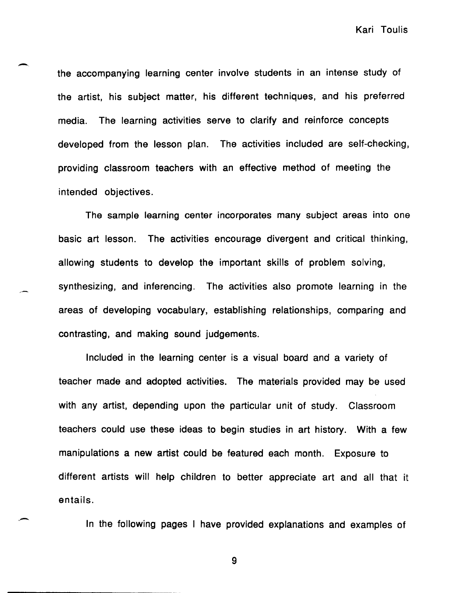the accompanying learning center involve students in an intense study of the artist, his subject matter, his different techniques, and his preferred media. The learning activities serve to clarify and reinforce concepts developed from the lesson plan. The activities included are self-checking, providing classroom teachers with an effective method of meeting the intended objectives.

The sample learning center incorporates many subject areas into one basic art lesson. The activities encourage divergent and critical thinking, allowing students to develop the important skills of problem solving, synthesizing, and inferencing. The activities also promote learning in the areas of developing vocabulary, establishing relationships, comparing and contrasting, and making sound judgements.

Included in the learning center is a visual board and a variety of teacher made and adopted activities. The materials provided may be used with any artist, depending upon the particular unit of study. Classroom teachers could use these ideas to begin studies in art history. With a few manipulations a new artist could be featured each month. Exposure to different artists will help children to better appreciate art and all that it entails.

In the following pages I have provided explanations and examples of

9

. -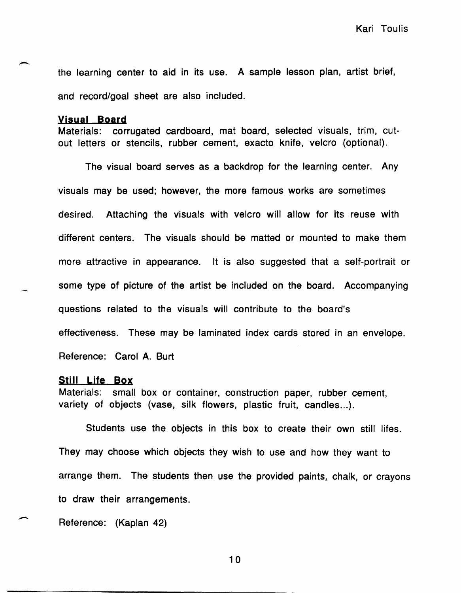the learning center to aid in its use. A sample lesson plan, artist brief, and record/goal sheet are also included.

#### **Visual Board**

Materials: corrugated cardboard, mat board, selected visuals, trim, cutout letters or stencils, rubber cement, ex acto knife, velcro (optional).

The visual board serves as a backdrop for the learning center. Any visuals may be used; however, the more famous works are sometimes desired. Attaching the visuals with velcro will allow for its reuse with different centers. The visuals should be matted or mounted to make them more attractive in appearance. It is also suggested that a self-portrait or some type of picture of the artist be included on the board. Accompanying questions related to the visuals will contribute to the board's effectiveness. These may be laminated index cards stored in an envelope. Reference: Carol A. Burt

#### **Still Life Box**

Materials: small box or container, construction paper, rubber cement, variety of objects (vase, silk flowers, plastic fruit, candles...).

Students use the objects in this box to create their own still lifes. They may choose which objects they wish to use and how they want to arrange them. The students then use the provided paints, chalk, or crayons to draw their arrangements.

Reference: (Kaplan 42)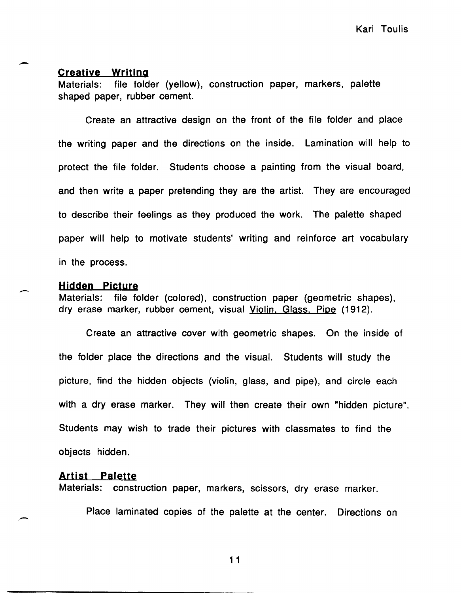#### **Creative Writing**

-

-

Materials: file folder (yellow), construction paper, markers, palette shaped paper, rubber cement.

Create an attractive design on the front of the file folder and place the writing paper and the directions on the inside. Lamination will help to protect the file folder. Students choose a painting from the visual board, and then write a paper pretending they are the artist. They are encouraged to describe their feelings as they produced the work. The palette shaped paper will help to motivate students' writing and reinforce art vocabulary in the process.

#### **Hidden picture**

Materials: file folder (colored), construction paper (geometric shapes), dry erase marker, rubber cement, visual Violin. Glass. Pipe (1912).

Create an attractive cover with geometric shapes. On the inside of the folder place the directions and the visual. Students will study the picture, find the hidden objects (violin, glass, and pipe), and circle each with a dry erase marker. They will then create their own "hidden picture". Students may wish to trade their pictures with classmates to find the objects hidden.

#### **Artist palette**

Materials: construction paper, markers, scissors, dry erase marker.

Place laminated copies of the palette at the center. Directions on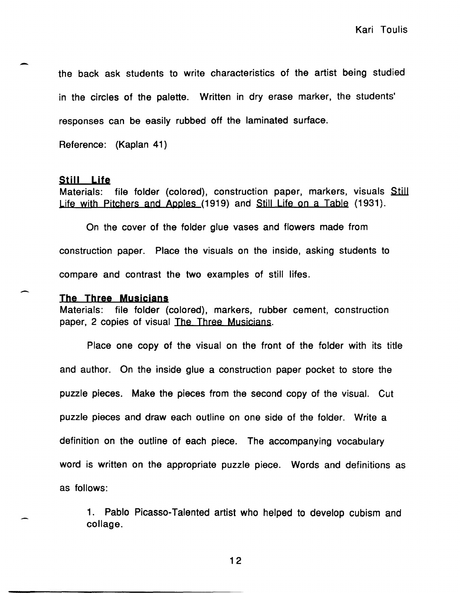the back ask students to write characteristics of the artist being studied in the circles of the palette. Written in dry erase marker, the students' responses can be easily rubbed off the laminated surface.

Reference: (Kaplan 41)

#### Still Life

-

-

Materials: file folder (colored), construction paper, markers, visuals Still Life with Pitchers and Apples (1919) and Still Life on a Table (1931).

On the cover of the folder glue vases and flowers made from construction paper. Place the visuals on the inside, asking students to compare and contrast the two examples of still lifes.

#### The Three Musicians

Materials: file folder (colored), markers, rubber cement, construction paper, 2 copies of visual The Three Musicians.

Place one copy of the visual on the front of the folder with its title and author. On the inside glue a construction paper pocket to store the puzzle pieces. Make the pieces from the second copy of the visual. Cut puzzle pieces and draw each outline on one side of the folder. Write a definition on the outline of each piece. The accompanying vocabulary word is written on the appropriate puzzle piece. Words and definitions as as follows:

1. Pablo Picasso-Talented artist who helped to develop cubism and collage.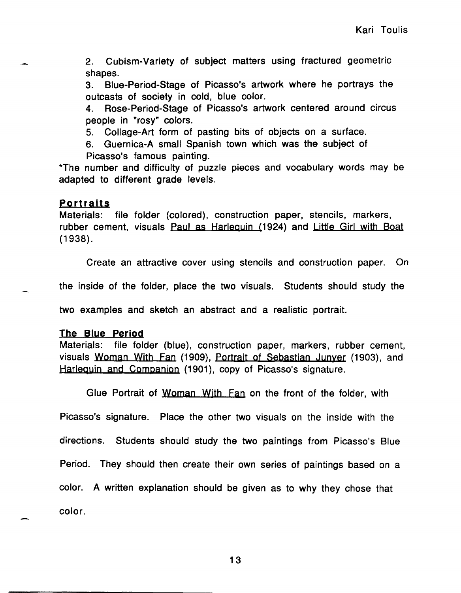2. Cubism-Variety of subject matters using fractured geometric shapes.

3. Blue-Period-Stage of Picasso's artwork where he portrays the outcasts of society in cold, blue color.

4. Rose-Period-Stage of Picasso's artwork centered around circus people in "rosy" colors.

5. Collage-Art form of pasting bits of objects on a surface.

6. Guernica-A small Spanish town which was the subject of

Picasso's famous painting.

\*The number and difficulty of puzzle pieces and vocabulary words may be adapted to different grade levels.

### **portraits**

Materials: file folder (colored), construction paper, stencils, markers, rubber cement, visuals Paul as Harlequin (1924) and Little Girl with Boat (1938).

Create an attractive cover using stencils and construction paper. On

the inside of the folder, place the two visuals. Students should study the

two examples and sketch an abstract and a realistic portrait.

### **The Blye period**

Materials: file folder (blue), construction paper, markers, rubber cement, visuals Woman With Fan (1909), Portrait of Sebastian Junyer (1903), and Harlequin and Companion (1901), copy of Picasso's signature.

Glue Portrait of Woman With Fan on the front of the folder, with

Picasso's signature. Place the other two visuals on the inside with the directions. Students should study the two paintings from Picasso's Blue Period. They should then create their own series of paintings based on a color. A written explanation should be given as to why they chose that color.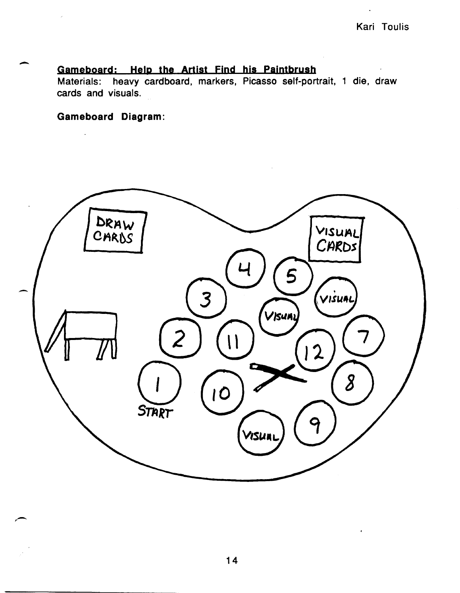# **Gameboardj Help the Artist Find his paintbrush**

Materials: heavy cardboard, markers, Picasso self-portrait, 1 die, draw cards and visuals.

**Gameboard Diagram:** 

-

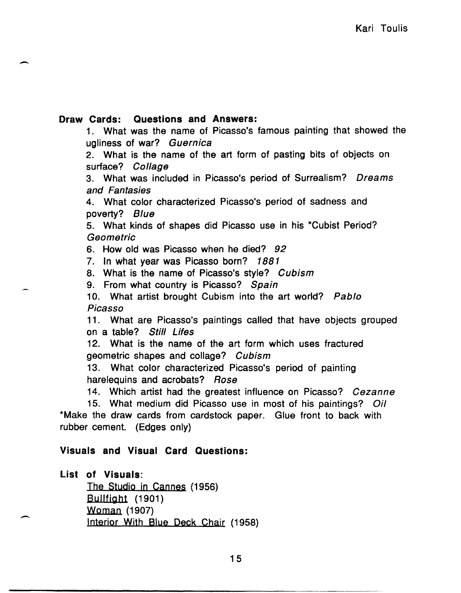# Draw Cards: Questions and Answers:

-

1. What was the name of Picasso's famous painting that showed the ugliness of war? Guernica

2. What is the name of the art form of pasting bits of objects on surface? Collage

3. What was included in Picasso's period of Surrealism? Dreams and Fantasies

4. What color characterized Picasso's period of sadness and poverty? Blue

5. What kinds of shapes did Picasso use in his "Cubist Period? Geometric

6. How old was Picasso when he died? 92

7. In what year was Picasso born? 1881

8. What is the name of Picasso's style? Cubism

9. From what country is Picasso? Spain

10. What artist brought Cubism into the art world? Pablo Picasso

11. What are Picasso's paintings called that have objects grouped on a table? Still Lifes

12. What is the name of the art form which uses fractured geometric shapes and collage? Cubism

13. What color characterized Picasso's period of painting harelequins and acrobats? Rose

14. Which artist had the greatest influence on Picasso? Cezanne

15. What medium did Picasso use in most of his paintings? *Oil*  \*Make the draw cards from cardstock paper. Glue front to back with rubber cement. (Edges only)

# Visuals and Visual Card Questions:

# List of Visuals:

 $\overline{\phantom{0}}$ 

The Studio in Cannes (1956) Bullfight (1901) Woman (1907) Interior With Blue Deck Chair (1958)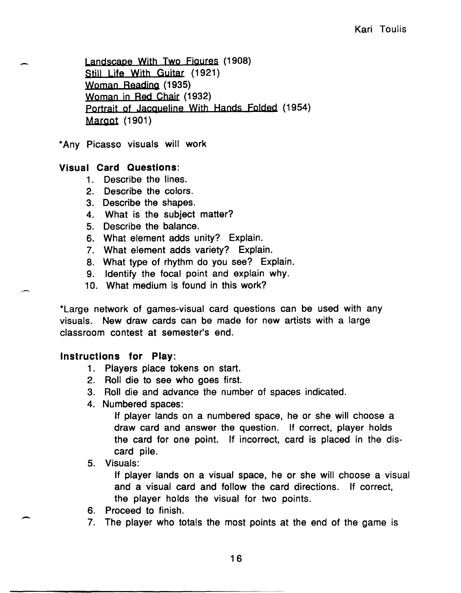Landscape With Two Figures (190S) Still Life With Guitar (1921) Woman Beading (1935) Woman in Bed Chair (1932) Portrait of Jacqueline With Hands Folded (1954) Margot (1901)

\* Any Picasso visuals will work

## Visual Card Questions:

- 1. Describe the lines.
- 2. Describe the colors.
- 3. Describe the shapes.
- 4. What is the subject matter?
- 5. Describe the balance.
- 6. What element adds unity? Explain.
- 7. What element adds variety? Explain.
- S. What type of rhythm do you see? Explain.
- 9. Identify the focal point and explain why.
- 10. What medium is found in this work?

\*Large network of games-visual card questions can be used with any visuals. New draw cards can be made for new artists with a large classroom contest at semester's end.

### Instructions for Play:

- 1. Players place tokens on start.
- 2. Boll die to see who goes first.
- 3. Boll die and advance the number of spaces indicated.
- 4. Numbered spaces:

If player lands on a numbered space, he or she will choose a draw card and answer the question. If correct, player holds the card for one point. If incorrect, card is placed in the discard pile.

# 5. Visuals:

-

If player lands on a visual space, he or she will choose a visual and a visual card and follow the card directions. If correct, the player holds the visual for two points.

- 6. Proceed to finish.
- 7. The player who totals the most points at the end of the game is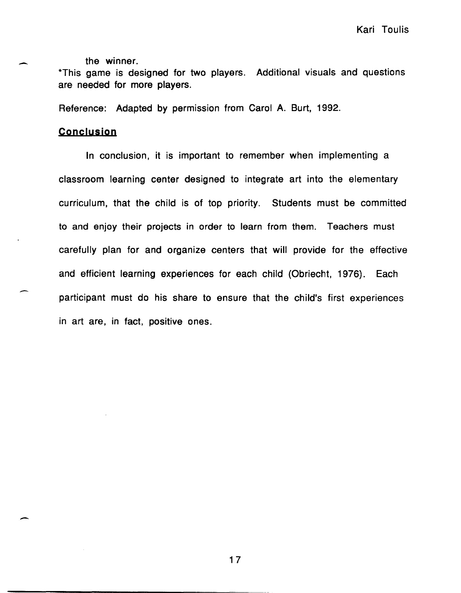the winner.

\*This game is designed for two players. Additional visuals and questions are needed for more players.

Reference: Adapted by permission from Carol A. Burt, 1992.

### **Conclysion**

 $\overline{\phantom{a}}$ 

--

-

In conclusion, it is important to remember when implementing a classroom learning center designed to integrate art into the elementary curriculum, that the child is of top priority. Students must be committed to and enjoy their projects in order to learn from them. Teachers must carefully plan for and organize centers that will provide for the effective and efficient learning experiences for each child (Obriecht, 1976). Each participant must do his share to ensure that the child's first experiences in art are, in fact, positive ones.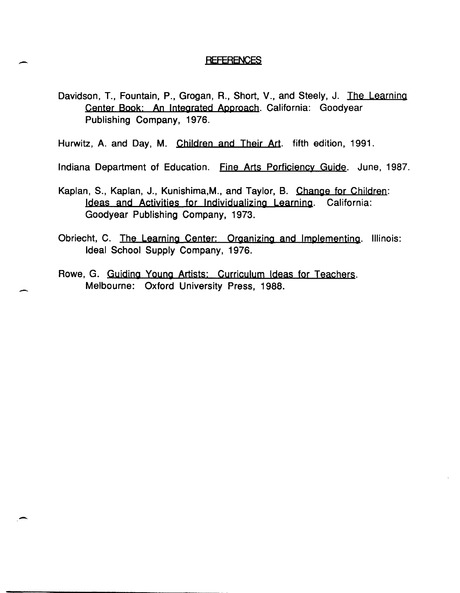#### **REFERENCES**

- Davidson, T., Fountain, P., Grogan, R., Short, V., and Steely, J. The Learning Center Book: An Integrated Approach. California: Goodyear Publishing Company, 1976.
- Hurwitz, A. and Day, M. Children and Their Art. fifth edition, 1991.

-

-

-

- Indiana Department of Education. Fine Arts Porficiency Guide. June, 1987.
- Kaplan, S., Kaplan, J., Kunishima,M., and Taylor, B. Change for Children: Ideas and Activities for Individualizing Learning. California: Goodyear Publishing Company, 1973.
- Obriecht, C. The Learning Center: Organizing and Implementing. Illinois: Ideal School Supply Company, 1976.
- Rowe, G. Guiding Young Artists: Curriculum Ideas for Teachers. Melbourne: Oxford University Press, 1988.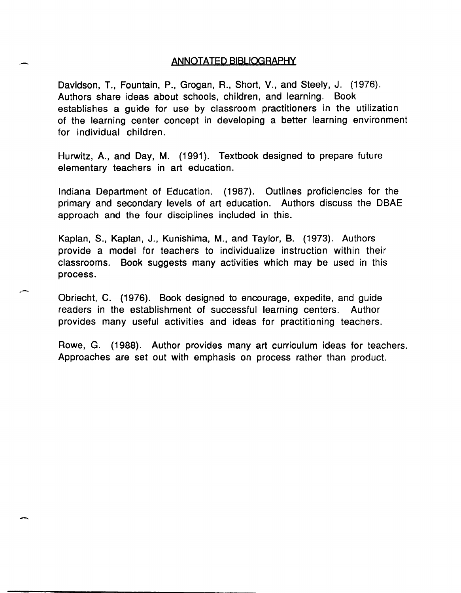#### ANNOTATED BIBLIOGRAPHY

Davidson, T., Fountain, P., Grogan, R., Short, V., and Steely, J. (1976). Authors share ideas about schools, children, and learning. Book establishes a guide for use by classroom practitioners in the utilization of the learning center concept in developing a better learning environment for individual children.

Hurwitz, A., and Day, M. (1991). Textbook designed to prepare future elementary teachers in art education.

Indiana Department of Education. (1987). Outlines proficiencies for the primary and secondary levels of art education. Authors discuss the DBAE approach and the four disciplines included in this.

Kaplan, S., Kaplan, J., Kunishima, M., and Taylor, B. (1973). Authors provide a model for teachers to individualize instruction within their classrooms. Book suggests many activities which may be used in this process .

Obriecht, C. (1976). Book designed to encourage, expedite, and guide readers in the establishment of successful learning centers. Author provides many useful activities and ideas for practitioning teachers.

. -

-

Rowe, G. (1988). Author provides many art curriculum ideas for teachers. Approaches are set out with emphasis on process rather than product.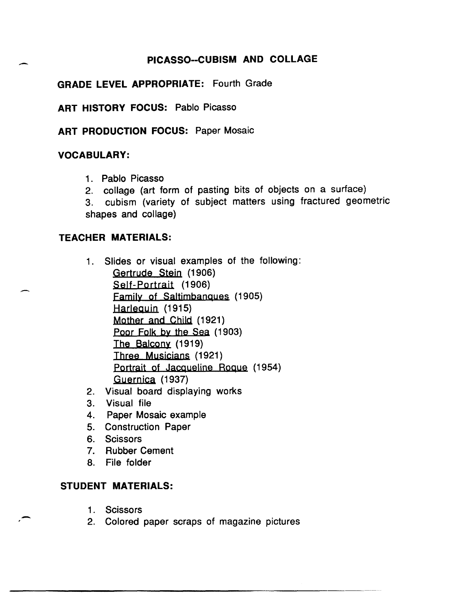# **PICASSO--CUBISM AND COLLAGE**

# **GRADE LEVEL APPROPRIATE:** Fourth Grade

**ART HISTORY FOCUS:** Pablo Picasso

**ART PRODUCTION FOCUS: Paper Mosaic** 

## **VOCABULARY:**

-

- 1. Pablo Picasso
- 2. collage (art form of pasting bits of objects on a surface)
- 3. cubism (variety of subject matters using fractured geometric

shapes and collage)

# **TEACHER MATERIALS:**

- 1. Slides or visual examples of the following: Gertrude Stein (1906) Self-Portrait (1906) Family of Saltimbangues (1905) Harleguin (1915) Mother and Child (1921) Poor Folk by the Sea (1903) The Balcony (1919) Three Musicians (1921) Portrait of Jacqueline Roque (1954) Guernica (1937)
- 2. Visual board displaying works
- 3. Visual file
- 4. Paper Mosaic example
- 5. Construction Paper
- 6. Scissors
- 7. Rubber Cement
- 8. File folder

# **STUDENT MATERIALS:**

1. Scissors

-

2. Colored paper scraps of magazine pictures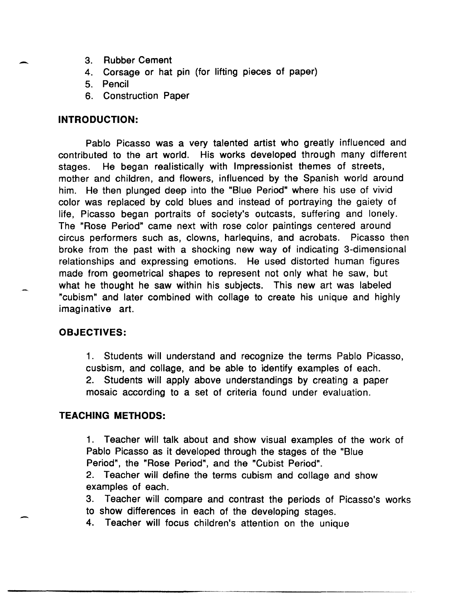- 3. Rubber Cement
- 4. Corsage or hat pin (for lifting pieces of paper)
- 5. Pencil
- 6. Construction Paper

### **INTRODUCTION:**

-

-

Pablo Picasso was a very talented artist who greatly influenced and contributed to the art world. His works developed through many different stages. He began realistically with Impressionist themes of streets, mother and children, and flowers, influenced by the Spanish world around him. He then plunged deep into the "Blue Period" where his use of vivid color was replaced by cold blues and instead of portraying the gaiety of life, Picasso began portraits of society's outcasts, suffering and lonely. The "Rose Period" came next with rose color paintings centered around circus performers such as, clowns, harlequins, and acrobats. Picasso then broke from the past with a shocking new way of indicating 3-dimensional relationships and expressing emotions. He used distorted human figures made from geometrical shapes to represent not only what he saw, but what he thought he saw within his subjects. This new art was labeled "cubism" and later combined with collage to create his unique and highly imaginative art.

### **OBJECTIVES:**

1. Students will understand and recognize the terms Pablo Picasso, cusbism, and collage, and be able to identify examples of each. 2. Students will apply above understandings by creating a paper mosaic according to a set of criteria found under evaluation.

### **TEACHING METHODS:**

1. Teacher will talk about and show visual examples of the work of Pablo Picasso as it developed through the stages of the "Blue Period", the "Rose Period", and the "Cubist Period".

2. Teacher will define the terms cubism and collage and show examples of each.

3. Teacher will compare and contrast the periods of Picasso's works to show differences in each of the developing stages.

4. Teacher will focus children's attention on the unique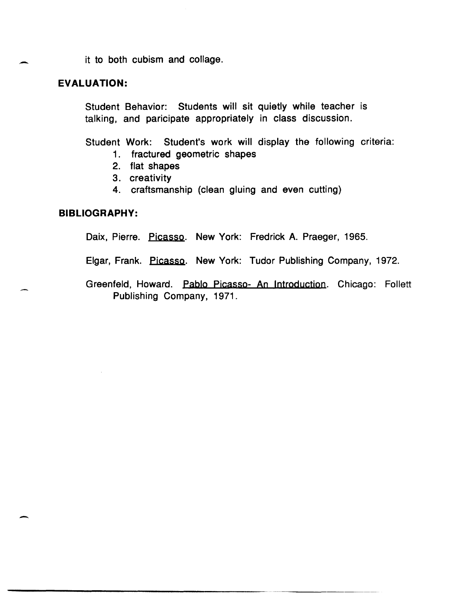it to both cubism and collage.

### **EVALUATION:**

-

-

Student Behavior: Students will sit quietly while teacher is talking, and paricipate appropriately in class discussion.

Student Work: Student's work will display the following criteria:

- 1. fractured geometric shapes
- 2. flat shapes
- 3. creativity
- 4. craftsmanship (clean gluing and even cutting)

#### **BIBLIOGRAPHY:**

Daix, Pierre. Picasso. New York: Fredrick A. Praeger, 1965.

- Elgar, Frank. Picasso. New York: Tudor Publishing Company, 1972.
- Greenfeld, Howard. Pablo Picasso- An Introduction. Chicago: Follett Publishing Company, 1971.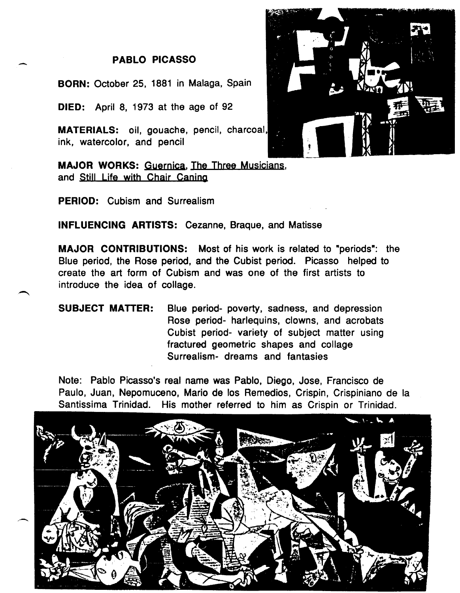# **PABLO PICASSO**

**BORN:** October 25, 1881 in Malaga, Spain

**DIED:** April 8, 1973 at the age of 92

-

**MATERIALS:** oil, gouache, pencil, charcoal ink, watercolor, and pencil

**MAJOR WORKS:** Guernjca, The Three Musicians, and Still Life with Chair Caning

**PERIOD:** Cubism and Surrealism

**INFLUENCING ARTISTS:** Cezanne, Braque, and Matisse

**MAJOR CONTRIBUTIONS:** Most of his work is related to "periods": the Blue period, the Rose period, and the Cubist period. Picasso helped to create the art form of Cubism and was one of the first artists to introduce the idea of collage.

**SUBJECT MATTER:** Blue period- poverty, sadness, and depression Rose period- harlequins, clowns, and acrobats Cubist period- variety of subject matter using fractured geometric shapes and collage Surrealism- dreams and fantasies

Note: Pablo Picasso's real name was Pablo, Diego, Jose, Francisco de Paulo, Juan, Nepomuceno, Mario de los Remedios, Crispin, Crispiniano de la Santissima Trinidad. His mother referred to him as Crispin or Trinidad.



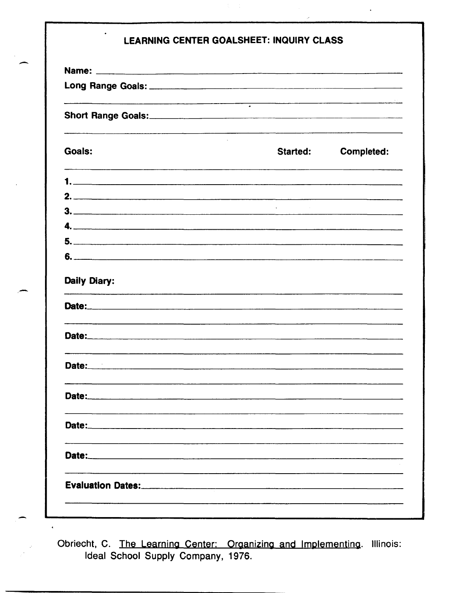|                                                                                                                                                                                                                                                                 | $\overline{\cdot}$                                |
|-----------------------------------------------------------------------------------------------------------------------------------------------------------------------------------------------------------------------------------------------------------------|---------------------------------------------------|
| Goals:                                                                                                                                                                                                                                                          | <b>Completed:</b><br>Started:                     |
|                                                                                                                                                                                                                                                                 |                                                   |
| 2.                                                                                                                                                                                                                                                              |                                                   |
| 3.                                                                                                                                                                                                                                                              | the second control of the                         |
|                                                                                                                                                                                                                                                                 |                                                   |
|                                                                                                                                                                                                                                                                 |                                                   |
|                                                                                                                                                                                                                                                                 |                                                   |
|                                                                                                                                                                                                                                                                 |                                                   |
|                                                                                                                                                                                                                                                                 |                                                   |
| Daily Diary:                                                                                                                                                                                                                                                    |                                                   |
|                                                                                                                                                                                                                                                                 |                                                   |
|                                                                                                                                                                                                                                                                 |                                                   |
|                                                                                                                                                                                                                                                                 |                                                   |
| Date:<br>Date: 2008. 2008. 2009. 2009. 2009. 2009. 2009. 2009. 2009. 2009. 2009. 2009. 2009. 2009. 2009. 2009. 2009. 20<br>Date: 2008. 2008. 2009. 2009. 2009. 2009. 2009. 2009. 2009. 2009. 2009. 2009. 2009. 2009. 2009. 2009. 2009. 20<br>Date:_____________ | <u> 1980 - Jan James James Sandarík (</u> † 1902) |

 $\frac{1}{2}$ 

Obriecht, C. The Learning Center: Organizing and Implementing. Illinois:<br>Ideal School Supply Company, 1976.